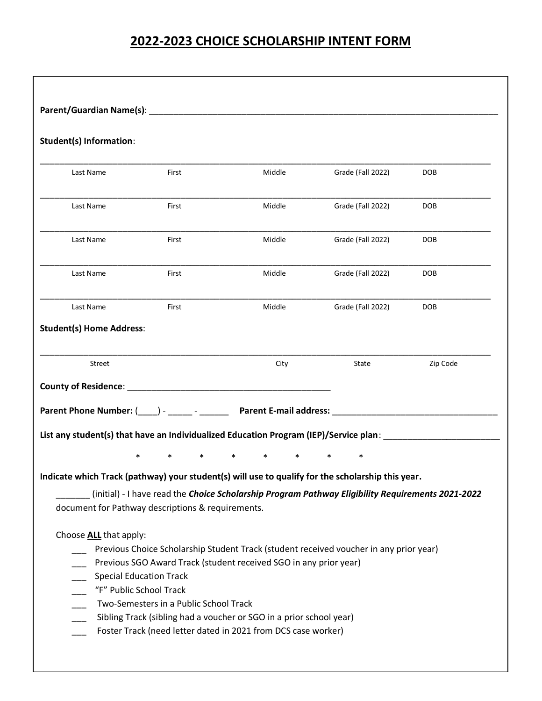## **2022-2023 CHOICE SCHOLARSHIP INTENT FORM**

| <b>Student(s) Information:</b>  |                                                                   |                                                                                                   |                   |            |
|---------------------------------|-------------------------------------------------------------------|---------------------------------------------------------------------------------------------------|-------------------|------------|
| Last Name                       | First                                                             | Middle                                                                                            | Grade (Fall 2022) | <b>DOB</b> |
| Last Name                       | First                                                             | Middle                                                                                            | Grade (Fall 2022) | <b>DOB</b> |
| Last Name                       | First                                                             | Middle                                                                                            | Grade (Fall 2022) | <b>DOB</b> |
| Last Name                       | First                                                             | Middle                                                                                            | Grade (Fall 2022) | <b>DOB</b> |
| Last Name                       | First                                                             | Middle                                                                                            | Grade (Fall 2022) | <b>DOB</b> |
| <b>Student(s) Home Address:</b> |                                                                   |                                                                                                   |                   |            |
| Street                          |                                                                   | City                                                                                              | State             | Zip Code   |
|                                 |                                                                   |                                                                                                   |                   |            |
|                                 |                                                                   |                                                                                                   |                   |            |
|                                 |                                                                   |                                                                                                   |                   |            |
|                                 |                                                                   | List any student(s) that have an Individualized Education Program (IEP)/Service plan:             |                   |            |
|                                 | $\ast$<br>$\ast$                                                  | $\ast$<br>$\ast$                                                                                  | $\ast$            |            |
|                                 |                                                                   | Indicate which Track (pathway) your student(s) will use to qualify for the scholarship this year. |                   |            |
|                                 | document for Pathway descriptions & requirements.                 | (initial) - I have read the Choice Scholarship Program Pathway Eligibility Requirements 2021-2022 |                   |            |
| Choose ALL that apply:          |                                                                   |                                                                                                   |                   |            |
|                                 |                                                                   | Previous Choice Scholarship Student Track (student received voucher in any prior year)            |                   |            |
|                                 |                                                                   | Previous SGO Award Track (student received SGO in any prior year)                                 |                   |            |
|                                 | <b>Special Education Track</b>                                    |                                                                                                   |                   |            |
|                                 | "F" Public School Track<br>Two-Semesters in a Public School Track |                                                                                                   |                   |            |
|                                 |                                                                   | Sibling Track (sibling had a voucher or SGO in a prior school year)                               |                   |            |